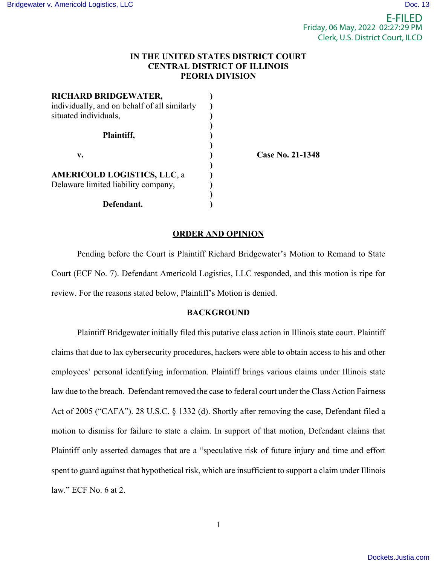# **IN THE UNITED STATES DISTRICT COURT CENTRAL DISTRICT OF ILLINOIS PEORIA DIVISION**

| RICHARD BRIDGEWATER,<br>individually, and on behalf of all similarly<br>situated individuals, |                         |
|-----------------------------------------------------------------------------------------------|-------------------------|
| Plaintiff,                                                                                    |                         |
| v.                                                                                            | <b>Case No. 21-1348</b> |
| <b>AMERICOLD LOGISTICS, LLC, a</b><br>Delaware limited liability company,                     |                         |
| Defendant.                                                                                    |                         |

## **ORDER AND OPINION**

Pending before the Court is Plaintiff Richard Bridgewater's Motion to Remand to State Court (ECF No. 7). Defendant Americold Logistics, LLC responded, and this motion is ripe for review. For the reasons stated below, Plaintiff's Motion is denied.

### **BACKGROUND**

Plaintiff Bridgewater initially filed this putative class action in Illinois state court. Plaintiff claims that due to lax cybersecurity procedures, hackers were able to obtain access to his and other employees' personal identifying information. Plaintiff brings various claims under Illinois state law due to the breach. Defendant removed the case to federal court under the Class Action Fairness Act of 2005 ("CAFA"). 28 U.S.C. § 1332 (d). Shortly after removing the case, Defendant filed a motion to dismiss for failure to state a claim. In support of that motion, Defendant claims that Plaintiff only asserted damages that are a "speculative risk of future injury and time and effort spent to guard against that hypothetical risk, which are insufficient to support a claim under Illinois law." ECF No. 6 at 2.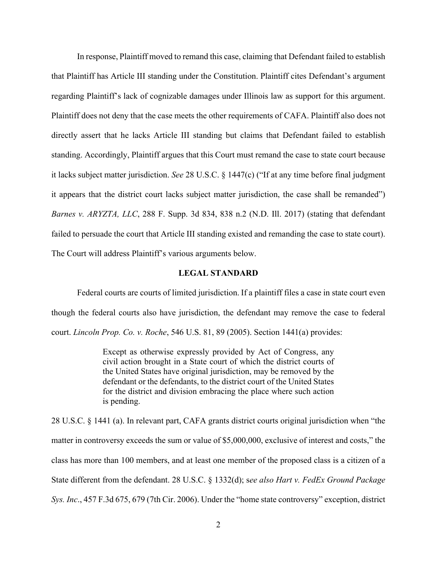In response, Plaintiff moved to remand this case, claiming that Defendant failed to establish that Plaintiff has Article III standing under the Constitution. Plaintiff cites Defendant's argument regarding Plaintiff's lack of cognizable damages under Illinois law as support for this argument. Plaintiff does not deny that the case meets the other requirements of CAFA. Plaintiff also does not directly assert that he lacks Article III standing but claims that Defendant failed to establish standing. Accordingly, Plaintiff argues that this Court must remand the case to state court because it lacks subject matter jurisdiction. *See* 28 U.S.C. § 1447(c) ("If at any time before final judgment it appears that the district court lacks subject matter jurisdiction, the case shall be remanded") *Barnes v. ARYZTA, LLC*, 288 F. Supp. 3d 834, 838 n.2 (N.D. Ill. 2017) (stating that defendant failed to persuade the court that Article III standing existed and remanding the case to state court). The Court will address Plaintiff's various arguments below.

## **LEGAL STANDARD**

Federal courts are courts of limited jurisdiction. If a plaintiff files a case in state court even though the federal courts also have jurisdiction, the defendant may remove the case to federal court. *Lincoln Prop. Co. v. Roche*, 546 U.S. 81, 89 (2005). Section 1441(a) provides:

> Except as otherwise expressly provided by Act of Congress, any civil action brought in a State court of which the district courts of the United States have original jurisdiction, may be removed by the defendant or the defendants, to the district court of the United States for the district and division embracing the place where such action is pending.

28 U.S.C. § 1441 (a). In relevant part, CAFA grants district courts original jurisdiction when "the matter in controversy exceeds the sum or value of \$5,000,000, exclusive of interest and costs," the class has more than 100 members, and at least one member of the proposed class is a citizen of a State different from the defendant. 28 U.S.C. § 1332(d); s*ee also Hart v. FedEx Ground Package Sys. Inc*., 457 F.3d 675, 679 (7th Cir. 2006). Under the "home state controversy" exception, district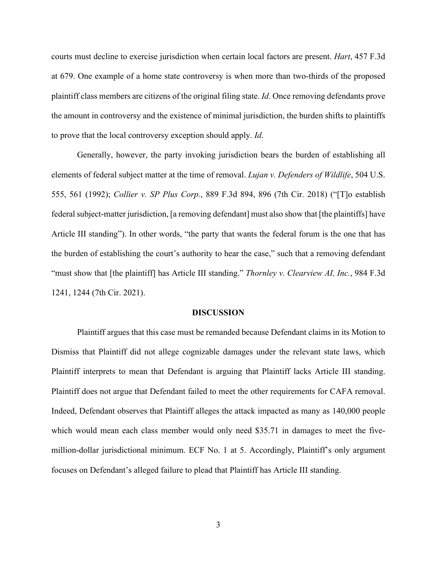courts must decline to exercise jurisdiction when certain local factors are present. *Hart*, 457 F.3d at 679. One example of a home state controversy is when more than two-thirds of the proposed plaintiff class members are citizens of the original filing state. *Id*. Once removing defendants prove the amount in controversy and the existence of minimal jurisdiction, the burden shifts to plaintiffs to prove that the local controversy exception should apply. *Id*.

Generally, however, the party invoking jurisdiction bears the burden of establishing all elements of federal subject matter at the time of removal. *Lujan v. Defenders of Wildlife*, 504 U.S. 555, 561 (1992); *Collier v. SP Plus Corp.*, 889 F.3d 894, 896 (7th Cir. 2018) ("[T]o establish federal subject-matter jurisdiction, [a removing defendant] must also show that [the plaintiffs] have Article III standing"). In other words, "the party that wants the federal forum is the one that has the burden of establishing the court's authority to hear the case," such that a removing defendant "must show that [the plaintiff] has Article III standing." *Thornley v. Clearview AI, Inc.*, 984 F.3d 1241, 1244 (7th Cir. 2021).

#### **DISCUSSION**

Plaintiff argues that this case must be remanded because Defendant claims in its Motion to Dismiss that Plaintiff did not allege cognizable damages under the relevant state laws, which Plaintiff interprets to mean that Defendant is arguing that Plaintiff lacks Article III standing. Plaintiff does not argue that Defendant failed to meet the other requirements for CAFA removal. Indeed, Defendant observes that Plaintiff alleges the attack impacted as many as 140,000 people which would mean each class member would only need \$35.71 in damages to meet the fivemillion-dollar jurisdictional minimum. ECF No. 1 at 5. Accordingly, Plaintiff's only argument focuses on Defendant's alleged failure to plead that Plaintiff has Article III standing.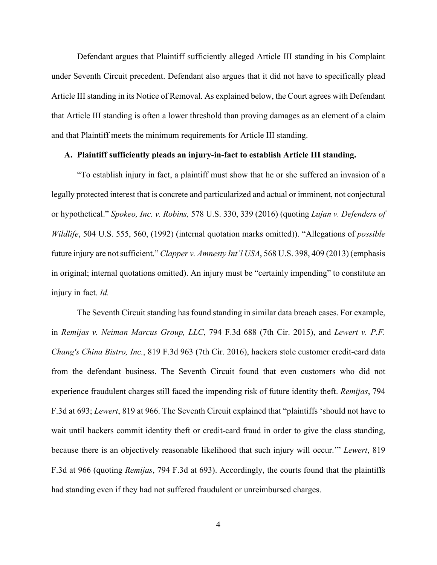Defendant argues that Plaintiff sufficiently alleged Article III standing in his Complaint under Seventh Circuit precedent. Defendant also argues that it did not have to specifically plead Article III standing in its Notice of Removal. As explained below, the Court agrees with Defendant that Article III standing is often a lower threshold than proving damages as an element of a claim and that Plaintiff meets the minimum requirements for Article III standing.

## **A. Plaintiff sufficiently pleads an injury-in-fact to establish Article III standing.**

"To establish injury in fact, a plaintiff must show that he or she suffered an invasion of a legally protected interest that is concrete and particularized and actual or imminent, not conjectural or hypothetical." *Spokeo, Inc. v. Robins,* 578 U.S. 330, 339 (2016) (quoting *Lujan v. Defenders of Wildlife*, 504 U.S. 555, 560, (1992) (internal quotation marks omitted)). "Allegations of *possible* future injury are not sufficient." *Clapper v. Amnesty Int'l USA*, 568 U.S. 398, 409 (2013) (emphasis in original; internal quotations omitted). An injury must be "certainly impending" to constitute an injury in fact. *Id.*

The Seventh Circuit standing has found standing in similar data breach cases. For example, in *Remijas v. Neiman Marcus Group, LLC*, 794 F.3d 688 (7th Cir. 2015), and *Lewert v. P.F. Chang's China Bistro, Inc.*, 819 F.3d 963 (7th Cir. 2016), hackers stole customer credit-card data from the defendant business. The Seventh Circuit found that even customers who did not experience fraudulent charges still faced the impending risk of future identity theft. *Remijas*, 794 F.3d at 693; *Lewert*, 819 at 966. The Seventh Circuit explained that "plaintiffs 'should not have to wait until hackers commit identity theft or credit-card fraud in order to give the class standing, because there is an objectively reasonable likelihood that such injury will occur.'" *Lewert*, 819 F.3d at 966 (quoting *Remijas*, 794 F.3d at 693). Accordingly, the courts found that the plaintiffs had standing even if they had not suffered fraudulent or unreimbursed charges.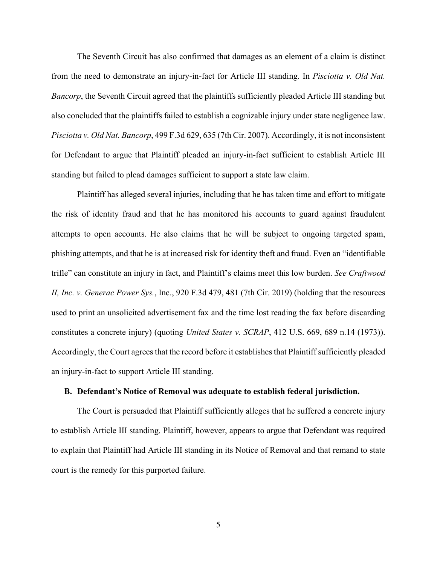The Seventh Circuit has also confirmed that damages as an element of a claim is distinct from the need to demonstrate an injury-in-fact for Article III standing. In *Pisciotta v. Old Nat. Bancorp*, the Seventh Circuit agreed that the plaintiffs sufficiently pleaded Article III standing but also concluded that the plaintiffs failed to establish a cognizable injury under state negligence law. *Pisciotta v. Old Nat. Bancorp*, 499 F.3d 629, 635 (7th Cir. 2007). Accordingly, it is not inconsistent for Defendant to argue that Plaintiff pleaded an injury-in-fact sufficient to establish Article III standing but failed to plead damages sufficient to support a state law claim.

Plaintiff has alleged several injuries, including that he has taken time and effort to mitigate the risk of identity fraud and that he has monitored his accounts to guard against fraudulent attempts to open accounts. He also claims that he will be subject to ongoing targeted spam, phishing attempts, and that he is at increased risk for identity theft and fraud. Even an "identifiable trifle" can constitute an injury in fact, and Plaintiff's claims meet this low burden. *See Craftwood II, Inc. v. Generac Power Sys.*, Inc., 920 F.3d 479, 481 (7th Cir. 2019) (holding that the resources used to print an unsolicited advertisement fax and the time lost reading the fax before discarding constitutes a concrete injury) (quoting *United States v. SCRAP*, 412 U.S. 669, 689 n.14 (1973)). Accordingly, the Court agrees that the record before it establishes that Plaintiff sufficiently pleaded an injury-in-fact to support Article III standing.

### **B. Defendant's Notice of Removal was adequate to establish federal jurisdiction.**

The Court is persuaded that Plaintiff sufficiently alleges that he suffered a concrete injury to establish Article III standing. Plaintiff, however, appears to argue that Defendant was required to explain that Plaintiff had Article III standing in its Notice of Removal and that remand to state court is the remedy for this purported failure.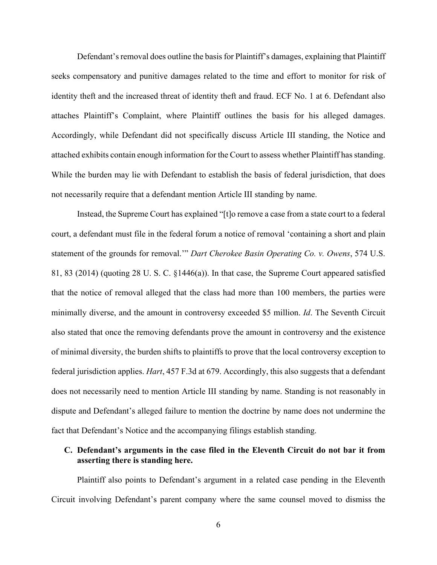Defendant's removal does outline the basis for Plaintiff's damages, explaining that Plaintiff seeks compensatory and punitive damages related to the time and effort to monitor for risk of identity theft and the increased threat of identity theft and fraud. ECF No. 1 at 6. Defendant also attaches Plaintiff's Complaint, where Plaintiff outlines the basis for his alleged damages. Accordingly, while Defendant did not specifically discuss Article III standing, the Notice and attached exhibits contain enough information for the Court to assess whether Plaintiff has standing. While the burden may lie with Defendant to establish the basis of federal jurisdiction, that does not necessarily require that a defendant mention Article III standing by name.

Instead, the Supreme Court has explained "[t]o remove a case from a state court to a federal court, a defendant must file in the federal forum a notice of removal 'containing a short and plain statement of the grounds for removal.'" *Dart Cherokee Basin Operating Co. v. Owens*, 574 U.S. 81, 83 (2014) (quoting 28 U. S. C. §1446(a)). In that case, the Supreme Court appeared satisfied that the notice of removal alleged that the class had more than 100 members, the parties were minimally diverse, and the amount in controversy exceeded \$5 million. *Id*. The Seventh Circuit also stated that once the removing defendants prove the amount in controversy and the existence of minimal diversity, the burden shifts to plaintiffs to prove that the local controversy exception to federal jurisdiction applies. *Hart*, 457 F.3d at 679. Accordingly, this also suggests that a defendant does not necessarily need to mention Article III standing by name. Standing is not reasonably in dispute and Defendant's alleged failure to mention the doctrine by name does not undermine the fact that Defendant's Notice and the accompanying filings establish standing.

# **C. Defendant's arguments in the case filed in the Eleventh Circuit do not bar it from asserting there is standing here.**

Plaintiff also points to Defendant's argument in a related case pending in the Eleventh Circuit involving Defendant's parent company where the same counsel moved to dismiss the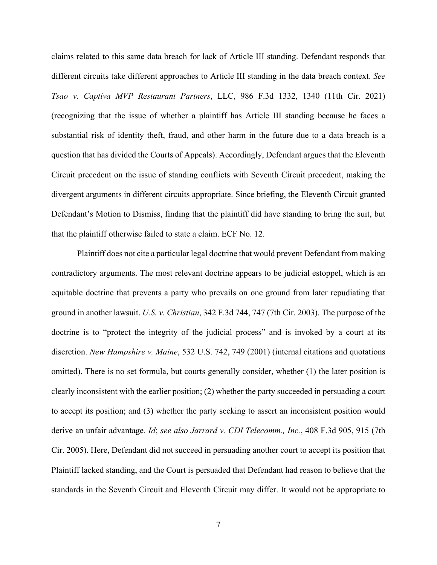claims related to this same data breach for lack of Article III standing. Defendant responds that different circuits take different approaches to Article III standing in the data breach context. *See Tsao v. Captiva MVP Restaurant Partners*, LLC, 986 F.3d 1332, 1340 (11th Cir. 2021) (recognizing that the issue of whether a plaintiff has Article III standing because he faces a substantial risk of identity theft, fraud, and other harm in the future due to a data breach is a question that has divided the Courts of Appeals). Accordingly, Defendant argues that the Eleventh Circuit precedent on the issue of standing conflicts with Seventh Circuit precedent, making the divergent arguments in different circuits appropriate. Since briefing, the Eleventh Circuit granted Defendant's Motion to Dismiss, finding that the plaintiff did have standing to bring the suit, but that the plaintiff otherwise failed to state a claim. ECF No. 12.

Plaintiff does not cite a particular legal doctrine that would prevent Defendant from making contradictory arguments. The most relevant doctrine appears to be judicial estoppel, which is an equitable doctrine that prevents a party who prevails on one ground from later repudiating that ground in another lawsuit. *U.S. v. Christian*, 342 F.3d 744, 747 (7th Cir. 2003). The purpose of the doctrine is to "protect the integrity of the judicial process" and is invoked by a court at its discretion. *New Hampshire v. Maine*, 532 U.S. 742, 749 (2001) (internal citations and quotations omitted). There is no set formula, but courts generally consider, whether (1) the later position is clearly inconsistent with the earlier position; (2) whether the party succeeded in persuading a court to accept its position; and (3) whether the party seeking to assert an inconsistent position would derive an unfair advantage. *Id*; *see also Jarrard v. CDI Telecomm., Inc.*, 408 F.3d 905, 915 (7th Cir. 2005). Here, Defendant did not succeed in persuading another court to accept its position that Plaintiff lacked standing, and the Court is persuaded that Defendant had reason to believe that the standards in the Seventh Circuit and Eleventh Circuit may differ. It would not be appropriate to